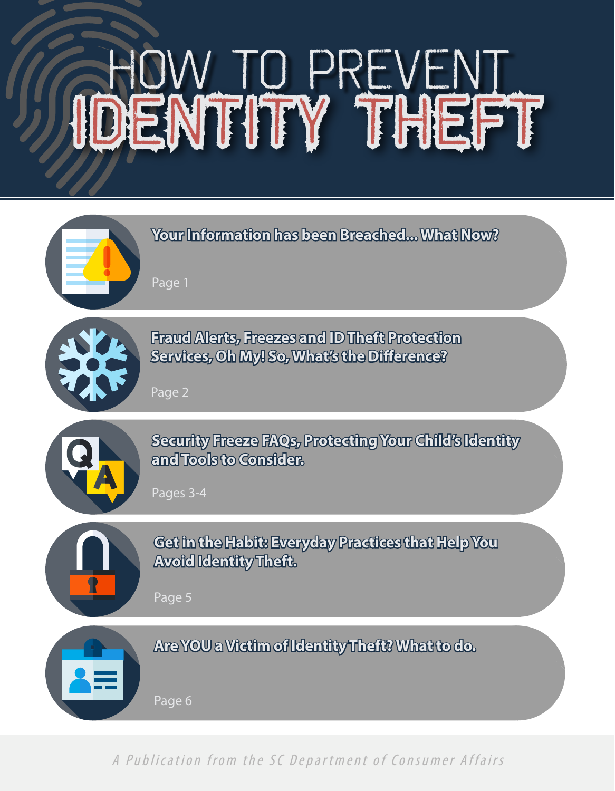# IDENTITY THEFT HOW TO PREVENT



A Publication from the SC Department of Consumer Affairs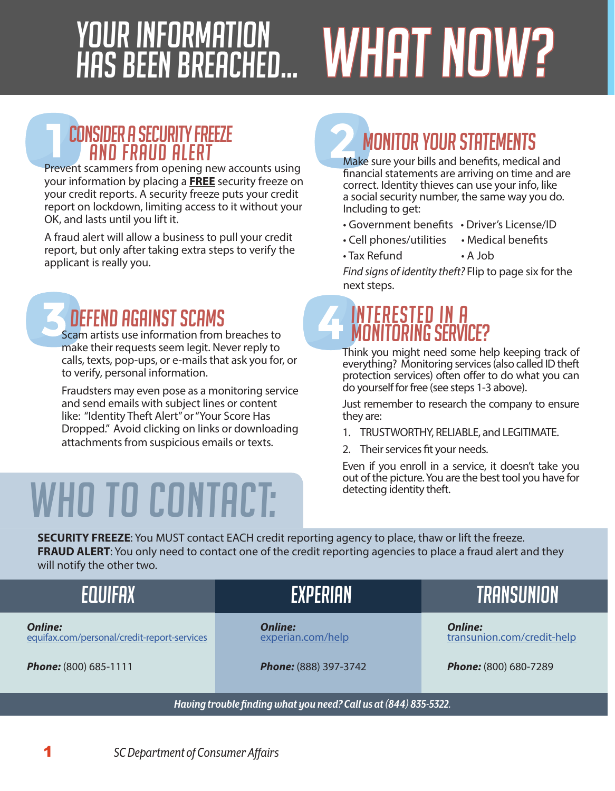# YOUR INFORMATION<br>HAS BEEN BREACHED... WHAT NOW?

## CONSIDER A SECURITY FREEZE

Prevent scammers from opening new accounts using your information by placing a **FREE** security freeze on your credit reports. A security freeze puts your credit report on lockdown, limiting access to it without your OK, and lasts until you lift it.

A fraud alert will allow a business to pull your credit report, but only after taking extra steps to verify the applicant is really you.

### DEFEND AGAINST SCAMS

Scam artists use information from breaches to make their requests seem legit. Never reply to calls, texts, pop-ups, or e-mails that ask you for, or to verify, personal information.

Fraudsters may even pose as a monitoring service and send emails with subject lines or content like: "Identity Theft Alert" or "Your Score Has Dropped." Avoid clicking on links or downloading attachments from suspicious emails or texts.

# wHO TO CONTACT:

## **MONITOR YOUR STATEMENTS**

Make sure your bills and benefits, medical and financial statements are arriving on time and are correct. Identity thieves can use your info, like a social security number, the same way you do. Including to get:

- Government benefits Driver's License/ID
- Cell phones/utilities Medical benefits
- Tax Refund A Job

*Find signs of identity theft?* Flip to page six for the next steps.

#### INTERESTED IN A MONITORING SERVICE?

Think you might need some help keeping track of everything? Monitoring services (also called ID theft protection services) often offer to do what you can do yourself for free (see steps 1-3 above).

Just remember to research the company to ensure they are:

- 1. TRUSTWORTHY, RELIABLE, and LEGITIMATE.
- 2. Their services fit your needs.

Even if you enroll in a service, it doesn't take you out of the picture. You are the best tool you have for detecting identity theft.

**SECURITY FREEZE**: You MUST contact EACH credit reporting agency to place, thaw or lift the freeze. **FRAUD ALERT:** You only need to contact one of the credit reporting agencies to place a fraud alert and they will notify the other two.

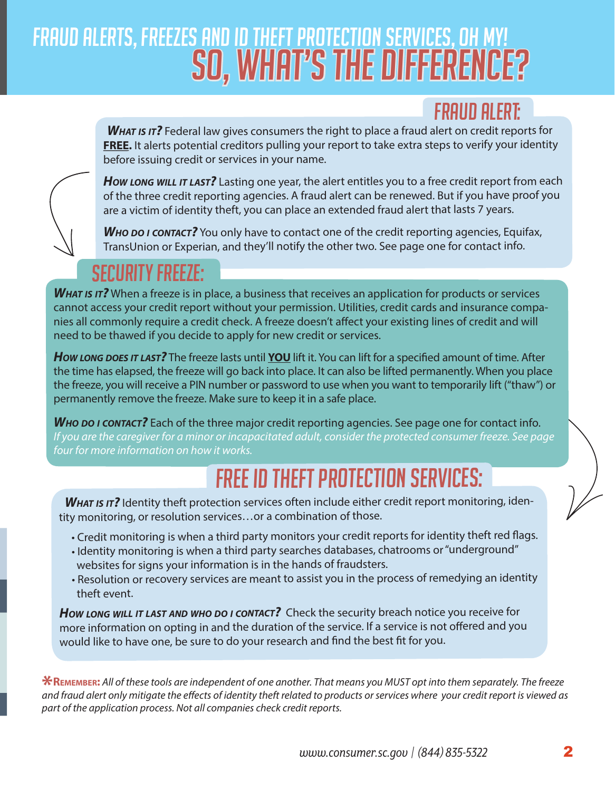## So, What's the Difference? Fraud Alerts, Freezes and ID THEFT PROTECTION SERVICES, OH MY!

#### FRAUD ALERT:

**WHAT IS IT?** Federal law gives consumers the right to place a fraud alert on credit reports for **FREE.** It alerts potential creditors pulling your report to take extra steps to verify your identity before issuing credit or services in your name.



*How long will it last?* Lasting one year, the alert entitles you to a free credit report from each of the three credit reporting agencies. A fraud alert can be renewed. But if you have proof you are a victim of identity theft, you can place an extended fraud alert that lasts 7 years.

*Who do <sup>i</sup> contact?* You only have to contact one of the credit reporting agencies, Equifax, TransUnion or Experian, and they'll notify the other two. See page one for contact info.

#### SECURITY FREEZE:

*What is it?* When a freeze is in place, a business that receives an application for products or services cannot access your credit report without your permission. Utilities, credit cards and insurance companies all commonly require a credit check. A freeze doesn't affect your existing lines of credit and will need to be thawed if you decide to apply for new credit or services.

*How long does it last?* The freeze lasts until **YOU** lift it. You can lift for a specified amount of time. After the time has elapsed, the freeze will go back into place. It can also be lifted permanently. When you place the freeze, you will receive a PIN number or password to use when you want to temporarily lift ("thaw") or permanently remove the freeze. Make sure to keep it in a safe place.

**WHO DO** *I* **CONTACT?** Each of the three major credit reporting agencies. See page one for contact info. *If you are the caregiver for a minor or incapacitated adult, consider the protected consumer freeze. See page four for more information on how it works.* 

## FREE ID THEFT PROTECTION SERVICES:

WHAT IS IT? Identity theft protection services often include either credit report monitoring, identity monitoring, or resolution services…or a combination of those.

- Credit monitoring is when a third party monitors your credit reports for identity theft red flags.
- Identity monitoring is when a third party searches databases, chatrooms or "underground" websites for signs your information is in the hands of fraudsters.
- Resolution or recovery services are meant to assist you in the process of remedying an identity theft event.

*How long will it last and who do <sup>i</sup> contact?* Check the security breach notice you receive for more information on opting in and the duration of the service. If a service is not offered and you would like to have one, be sure to do your research and find the best fit for you.

**\*Remember:** *All of these tools are independent of one another. That means you MUST opt into them separately. The freeze and fraud alert only mitigate the effects of identity theft related to products or services where your credit report is viewed as part of the application process. Not all companies check credit reports.*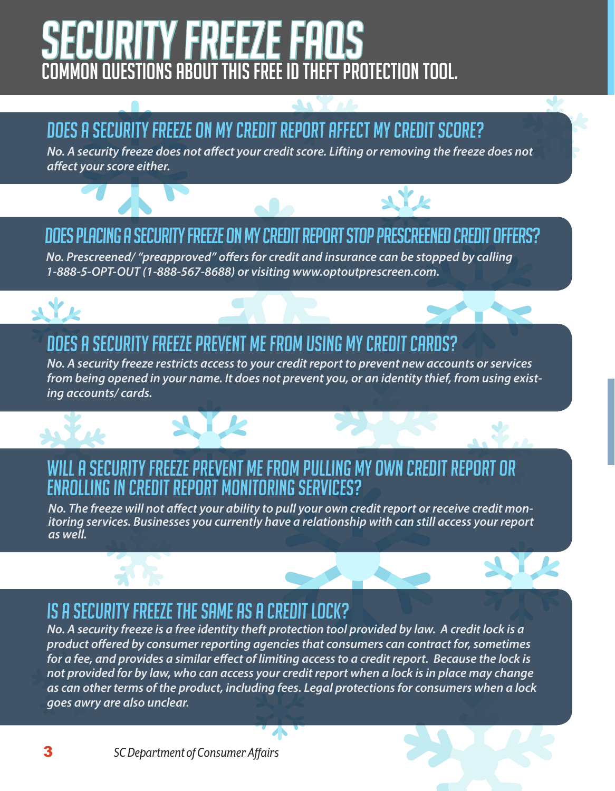## SECURITY FREEZE FAQS COMMON QUESTIONS ABOUT THIS FREE ID THEFT PROTECTION TOOL.

### Does a security freeze on my credit report affect my credit score?

*No. A security freeze does not affect your credit score. Lifting or removing the freeze does not affect your score either.*

#### Does placing a security freeze on my credit report stop prescreened credit offers?

 $\Delta Y$ 

*No. Prescreened/ "preapproved" offers for credit and insurance can be stopped by calling 1-888-5-OPT-OUT (1-888-567-8688) or visiting www.optoutprescreen.com.*

#### Does a security freeze prevent me from using my credit cards?

*No. A security freeze restricts access to your credit report to prevent new accounts or services from being opened in your name. It does not prevent you, or an identity thief, from using existing accounts/ cards.*

#### Will a security freeze prevent me from pulling my own credit report or enrolling in credit report monitoring services?

*No. The freeze will not affect your ability to pull your own credit report or receive credit mon- itoring services. Businesses you currently have a relationship with can still access your report as well.* 

#### Is a security freeze the same as a credit lock?

*No. A security freeze is a free identity theft protection tool provided by law. A credit lock is a product offered by consumer reporting agencies that consumers can contract for, sometimes for a fee, and provides a similar effect of limiting access to a credit report. Because the lock is not provided for by law, who can access your credit report when a lock is in place may change as can other terms of the product, including fees. Legal protections for consumers when a lock goes awry are also unclear.*



 $\mathbf{y}$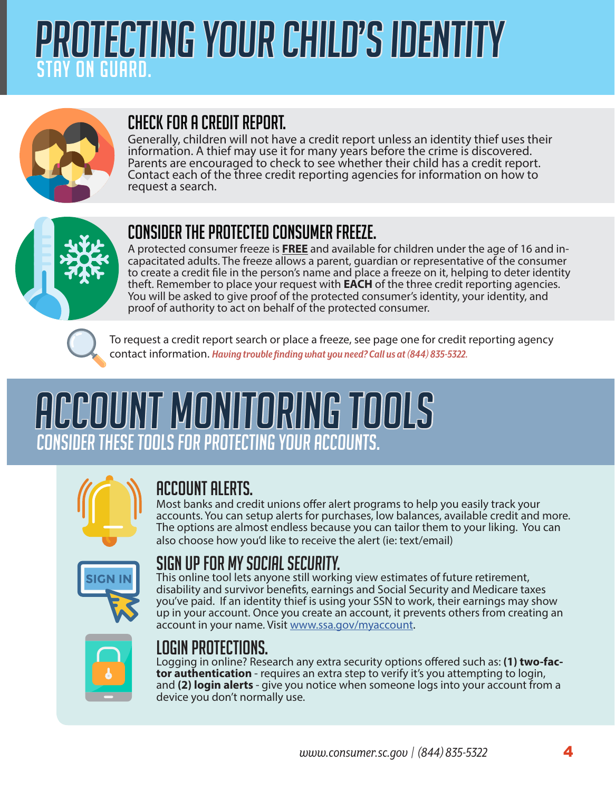## protecting your child's identity STAY ON GUARD.



#### cHECK FOR A CREDIT REPORT.

Generally, children will not have a credit report unless an identity thief uses their information. A thief may use it for many years before the crime is discovered. Parents are encouraged to check to see whether their child has a credit report. Contact each of the three credit reporting agencies for information on how to request a search.



#### consider the protected consumer freeze.

A protected consumer freeze is **FREE** and available for children under the age of 16 and in- capacitated adults. The freeze allows a parent, guardian or representative of the consumer to create a credit file in the person's name and place a freeze on it, helping to deter identity theft. Remember to place your request with **EACH** of the three credit reporting agencies. You will be asked to give proof of the protected consumer's identity, your identity, and proof of authority to act on behalf of the protected consumer.



To request a credit report search or place a freeze, see page one for credit reporting agency contact information. *Having trouble finding what you need? Call us at (844) 835-5322.*

## Account Monitoring Tools Consider these tools for protecting your accounts.



#### Account alerts.

Most banks and credit unions offer alert programs to help you easily track your accounts. You can setup alerts for purchases, low balances, available credit and more. The options are almost endless because you can tailor them to your liking. You can also choose how you'd like to receive the alert (ie: text/email)



#### Sign up for MY Social Security.

This online tool lets anyone still working view estimates of future retirement, disability and survivor benefits, earnings and Social Security and Medicare taxes you've paid. If an identity thief is using your SSN to work, their earnings may show up in your account. Once you create an account, it prevents others from creating an account in your name. Visit [www.ssa.gov/myaccount.](http://www.ssa.gov/myaccount)



#### Login protections.

Logging in online? Research any extra security options offered such as: **(1) two-factor authentication** - requires an extra step to verify it's you attempting to login, and **(2) login alerts** - give you notice when someone logs into your account from a device you don't normally use.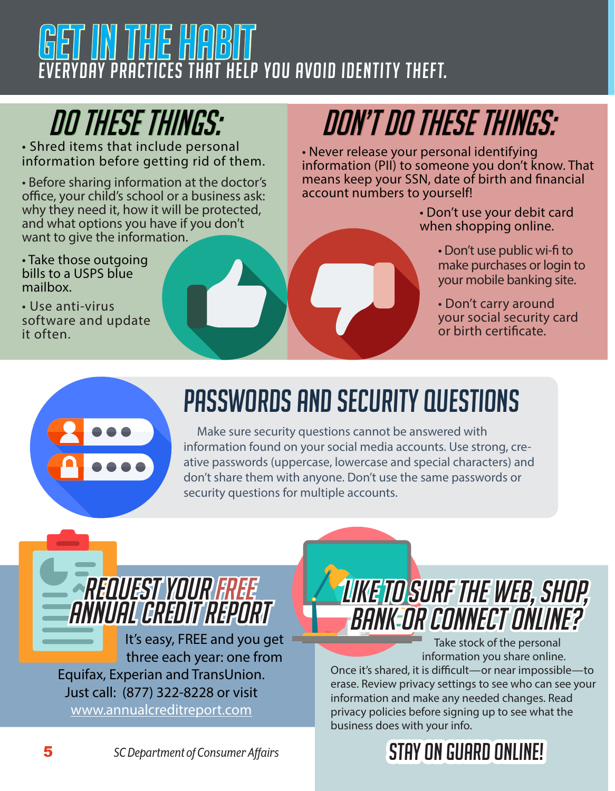## N THE HABI YDAY PRACTICES THAT HELP YOU AVOID IDENTITY THEFT.

• Shred items that include personal information before getting rid of them.

• Before sharing information at the doctor's office, your child's school or a business ask: why they need it, how it will be protected, and what options you have if you don't want to give the information.

• Take those outgoing bills to a USPS blue mailbox.

• Use anti-virus software and update it often.

## DO these things: DON'T do These things:

• Never release your personal identifying information (PII) to someone you don't know. That means keep your SSN, date of birth and financial account numbers to yourself!

> • Don't use your debit card when shopping online.

- Don't use public wi-fi to make purchases or login to your mobile banking site.
- Don't carry around your social security card or birth certificate.



## PASSWORDS AND SECURITY QUESTIONS

 Make sure security questions cannot be answered with information found on your social media accounts. Use strong, creative passwords (uppercase, lowercase and special characters) and don't share them with anyone. Don't use the same passwords or security questions for multiple accounts.

## REQUEST YOUR FREE ANNUAL CREDIT REPORT

It's easy, FREE and you get three each year: one from Equifax, Experian and TransUnion. Just call: (877) 322-8228 or visit [www.annualcreditreport.com](http://www.annualcreditreport.com)

## Like to surf the web, shop, bank or connect online?

 Take stock of the personal information you share online. Once it's shared, it is difficult—or near impossible—to erase. Review privacy settings to see who can see your information and make any needed changes. Read privacy policies before signing up to see what the business does with your info.

## Stay ON GUARD Online!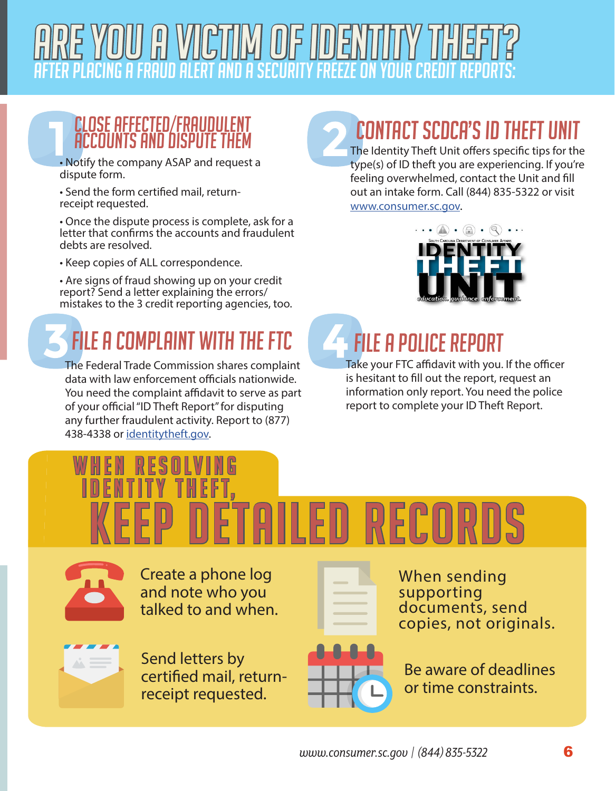

#### CLOSE AFFECTED/FRAUDULENT ACCOUNTS AND DISPUTE THEM

• Notify the company ASAP and request a dispute form.

• Send the form certified mail, returnreceipt requested.

• Once the dispute process is complete, ask for a letter that confirms the accounts and fraudulent debts are resolved.

• Keep copies of ALL correspondence.

• Are signs of fraud showing up on your credit report? Send a letter explaining the errors/ mistakes to the 3 credit reporting agencies, too.

## FILE A COMPLAINT WITH THE FTC **FILE A POLICE REPORT**

The Federal Trade Commission shares complaint data with law enforcement officials nationwide. You need the complaint affidavit to serve as part of your official "ID Theft Report" for disputing any further fraudulent activity. Report to (877) 438-4338 or [identitytheft.gov.](http://identitytheft.gov)

### CONTACT SCDCA'S ID THEFT UNIT

The Identity Theft Unit offers specific tips for the type(s) of ID theft you are experiencing. If you're feeling overwhelmed, contact the Unit and fill out an intake form. Call (844) 835-5322 or visit [www.consumer.sc.gov.](http://www.consumer.sc.gov )



Take your FTC affidavit with you. If the officer is hesitant to fill out the report, request an information only report. You need the police report to complete your ID Theft Report.

## keep detailed records When resolving IDentity Theft,



Create a phone log and note who you talked to and when.



Send letters by certified mail, returnreceipt requested.



When sending supporting documents, send copies, not originals.



Be aware of deadlines or time constraints.